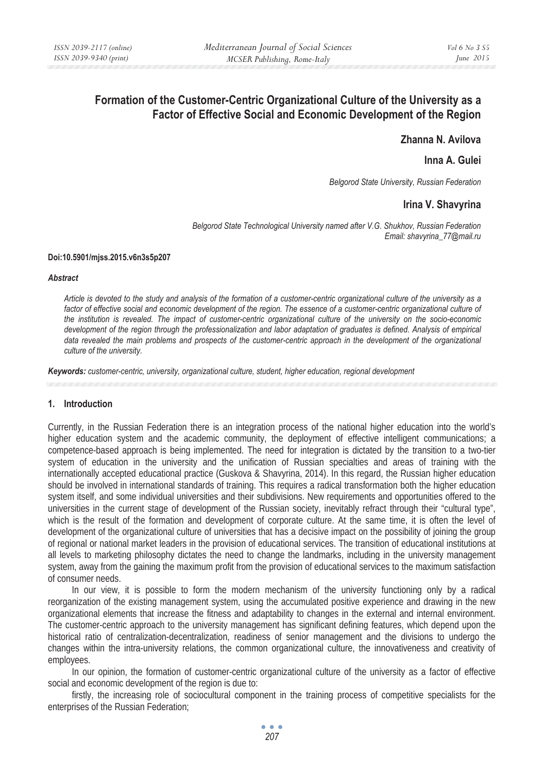# **Formation of the Customer-Centric Organizational Culture of the University as a Factor of Effective Social and Economic Development of the Region**

**Zhanna N. Avilova** 

**Inna A. Gulei** 

*Belgorod State University, Russian Federation* 

# **Irina V. Shavyrina**

*Belgorod State Technological University named after V.G. Shukhov, Russian Federation Email: shavyrina\_77@mail.ru* 

#### **Doi:10.5901/mjss.2015.v6n3s5p207**

#### *Abstract*

*Article is devoted to the study and analysis of the formation of a customer-centric organizational culture of the university as a*  factor of effective social and economic development of the region. The essence of a customer-centric organizational culture of *the institution is revealed. The impact of customer-centric organizational culture of the university on the socio-economic development of the region through the professionalization and labor adaptation of graduates is defined. Analysis of empirical*  data revealed the main problems and prospects of the customer-centric approach in the development of the organizational *culture of the university.* 

*Keywords: customer-centric, university, organizational culture, student, higher education, regional development*

## **1. Introduction**

Currently, in the Russian Federation there is an integration process of the national higher education into the world's higher education system and the academic community, the deployment of effective intelligent communications; a competence-based approach is being implemented. The need for integration is dictated by the transition to a two-tier system of education in the university and the unification of Russian specialties and areas of training with the internationally accepted educational practice (Guskova & Shavyrina, 2014). In this regard, the Russian higher education should be involved in international standards of training. This requires a radical transformation both the higher education system itself, and some individual universities and their subdivisions. New requirements and opportunities offered to the universities in the current stage of development of the Russian society, inevitably refract through their "cultural type", which is the result of the formation and development of corporate culture. At the same time, it is often the level of development of the organizational culture of universities that has a decisive impact on the possibility of joining the group of regional or national market leaders in the provision of educational services. The transition of educational institutions at all levels to marketing philosophy dictates the need to change the landmarks, including in the university management system, away from the gaining the maximum profit from the provision of educational services to the maximum satisfaction of consumer needs.

In our view, it is possible to form the modern mechanism of the university functioning only by a radical reorganization of the existing management system, using the accumulated positive experience and drawing in the new organizational elements that increase the fitness and adaptability to changes in the external and internal environment. The customer-centric approach to the university management has significant defining features, which depend upon the historical ratio of centralization-decentralization, readiness of senior management and the divisions to undergo the changes within the intra-university relations, the common organizational culture, the innovativeness and creativity of employees.

In our opinion, the formation of customer-centric organizational culture of the university as a factor of effective social and economic development of the region is due to:

firstly, the increasing role of sociocultural component in the training process of competitive specialists for the enterprises of the Russian Federation;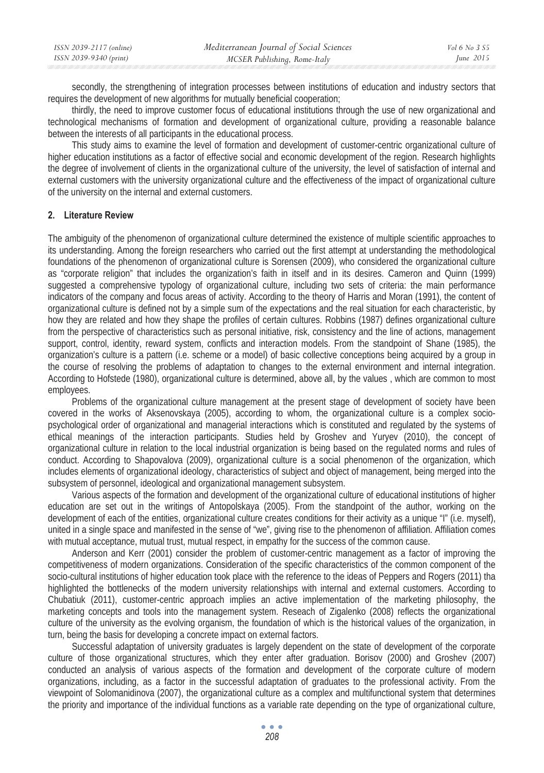| ISSN 2039-2117 (online) | Mediterranean Journal of Social Sciences | Vol 6 No 3 S5 |
|-------------------------|------------------------------------------|---------------|
| ISSN 2039-9340 (print)  | MCSER Publishing, Rome-Italy             | June $2015$   |

secondly, the strengthening of integration processes between institutions of education and industry sectors that requires the development of new algorithms for mutually beneficial cooperation;

thirdly, the need to improve customer focus of educational institutions through the use of new organizational and technological mechanisms of formation and development of organizational culture, providing a reasonable balance between the interests of all participants in the educational process.

This study aims to examine the level of formation and development of customer-centric organizational culture of higher education institutions as a factor of effective social and economic development of the region. Research highlights the degree of involvement of clients in the organizational culture of the university, the level of satisfaction of internal and external customers with the university organizational culture and the effectiveness of the impact of organizational culture of the university on the internal and external customers.

#### **2. Literature Review**

The ambiguity of the phenomenon of organizational culture determined the existence of multiple scientific approaches to its understanding. Among the foreign researchers who carried out the first attempt at understanding the methodological foundations of the phenomenon of organizational culture is Sorensen (2009), who considered the organizational culture as "corporate religion" that includes the organization's faith in itself and in its desires. Cameron and Quinn (1999) suggested a comprehensive typology of organizational culture, including two sets of criteria: the main performance indicators of the company and focus areas of activity. According to the theory of Harris and Moran (1991), the content of organizational culture is defined not by a simple sum of the expectations and the real situation for each characteristic, by how they are related and how they shape the profiles of certain cultures. Robbins (1987) defines organizational culture from the perspective of characteristics such as personal initiative, risk, consistency and the line of actions, management support, control, identity, reward system, conflicts and interaction models. From the standpoint of Shane (1985), the organization's culture is a pattern (i.e. scheme or a model) of basic collective conceptions being acquired by a group in the course of resolving the problems of adaptation to changes to the external environment and internal integration. According to Hofstede (1980), organizational culture is determined, above all, by the values , which are common to most employees.

Problems of the organizational culture management at the present stage of development of society have been covered in the works of Aksenovskaya (2005), according to whom, the organizational culture is a complex sociopsychological order of organizational and managerial interactions which is constituted and regulated by the systems of ethical meanings of the interaction participants. Studies held by Groshev and Yuryev (2010), the concept of organizational culture in relation to the local industrial organization is being based on the regulated norms and rules of conduct. According to Shapovalova (2009), organizational culture is a social phenomenon of the organization, which includes elements of organizational ideology, characteristics of subject and object of management, being merged into the subsystem of personnel, ideological and organizational management subsystem.

Various aspects of the formation and development of the organizational culture of educational institutions of higher education are set out in the writings of Antopolskaya (2005). From the standpoint of the author, working on the development of each of the entities, organizational culture creates conditions for their activity as a unique "I" (i.e. myself), united in a single space and manifested in the sense of "we", giving rise to the phenomenon of affiliation. Affiliation comes with mutual acceptance, mutual trust, mutual respect, in empathy for the success of the common cause.

Anderson and Kerr (2001) consider the problem of customer-centric management as a factor of improving the competitiveness of modern organizations. Consideration of the specific characteristics of the common component of the socio-cultural institutions of higher education took place with the reference to the ideas of Peppers and Rogers (2011) tha highlighted the bottlenecks of the modern university relationships with internal and external customers. According to Chubatiuk (2011), customer-centric approach implies an active implementation of the marketing philosophy, the marketing concepts and tools into the management system. Reseach of Zigalenko (2008) reflects the organizational culture of the university as the evolving organism, the foundation of which is the historical values of the organization, in turn, being the basis for developing a concrete impact on external factors.

Successful adaptation of university graduates is largely dependent on the state of development of the corporate culture of those organizational structures, which they enter after graduation. Borisov (2000) and Groshev (2007) conducted an analysis of various aspects of the formation and development of the corporate culture of modern organizations, including, as a factor in the successful adaptation of graduates to the professional activity. From the viewpoint of Solomanidinova (2007), the organizational culture as a complex and multifunctional system that determines the priority and importance of the individual functions as a variable rate depending on the type of organizational culture,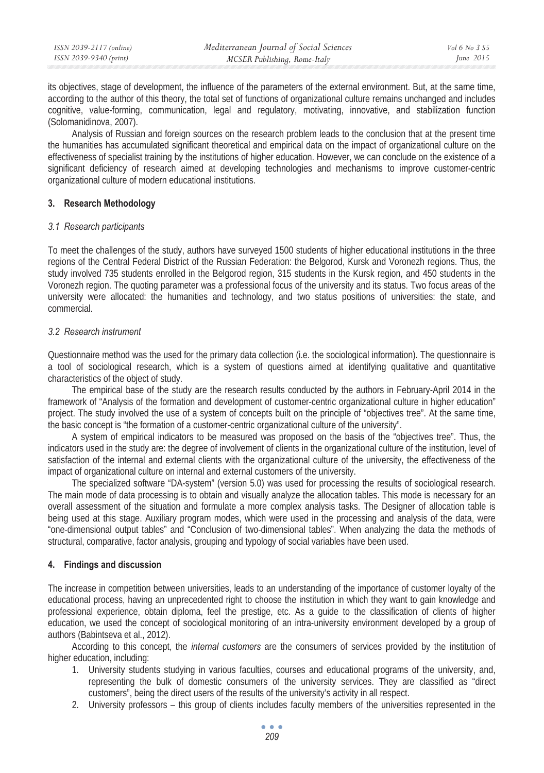| ISSN 2039-2117 (online) | Mediterranean Journal of Social Sciences | Vol 6 No. 3 S5 |
|-------------------------|------------------------------------------|----------------|
| ISSN 2039-9340 (print)  | MCSER Publishing, Rome-Italy             | June $2015$    |

its objectives, stage of development, the influence of the parameters of the external environment. But, at the same time, according to the author of this theory, the total set of functions of organizational culture remains unchanged and includes cognitive, value-forming, communication, legal and regulatory, motivating, innovative, and stabilization function (Solomanidinova, 2007).

Analysis of Russian and foreign sources on the research problem leads to the conclusion that at the present time the humanities has accumulated significant theoretical and empirical data on the impact of organizational culture on the effectiveness of specialist training by the institutions of higher education. However, we can conclude on the existence of a significant deficiency of research aimed at developing technologies and mechanisms to improve customer-centric organizational culture of modern educational institutions.

## **3. Research Methodology**

#### *3.1 Research participants*

To meet the challenges of the study, authors have surveyed 1500 students of higher educational institutions in the three regions of the Central Federal District of the Russian Federation: the Belgorod, Kursk and Voronezh regions. Thus, the study involved 735 students enrolled in the Belgorod region, 315 students in the Kursk region, and 450 students in the Voronezh region. The quoting parameter was a professional focus of the university and its status. Two focus areas of the university were allocated: the humanities and technology, and two status positions of universities: the state, and commercial.

## *3.2 Research instrument*

Questionnaire method was the used for the primary data collection (i.e. the sociological information). The questionnaire is a tool of sociological research, which is a system of questions aimed at identifying qualitative and quantitative characteristics of the object of study.

The empirical base of the study are the research results conducted by the authors in February-April 2014 in the framework of "Analysis of the formation and development of customer-centric organizational culture in higher education" project. The study involved the use of a system of concepts built on the principle of "objectives tree". At the same time, the basic concept is "the formation of a customer-centric organizational culture of the university".

A system of empirical indicators to be measured was proposed on the basis of the "objectives tree". Thus, the indicators used in the study are: the degree of involvement of clients in the organizational culture of the institution, level of satisfaction of the internal and external clients with the organizational culture of the university, the effectiveness of the impact of organizational culture on internal and external customers of the university.

The specialized software "DA-system" (version 5.0) was used for processing the results of sociological research. The main mode of data processing is to obtain and visually analyze the allocation tables. This mode is necessary for an overall assessment of the situation and formulate a more complex analysis tasks. The Designer of allocation table is being used at this stage. Auxiliary program modes, which were used in the processing and analysis of the data, were "one-dimensional output tables" and "Conclusion of two-dimensional tables". When analyzing the data the methods of structural, comparative, factor analysis, grouping and typology of social variables have been used.

## **4. Findings and discussion**

The increase in competition between universities, leads to an understanding of the importance of customer loyalty of the educational process, having an unprecedented right to choose the institution in which they want to gain knowledge and professional experience, obtain diploma, feel the prestige, etc. As a guide to the classification of clients of higher education, we used the concept of sociological monitoring of an intra-university environment developed by a group of authors (Babintseva et al., 2012).

According to this concept, the *internal customers* are the consumers of services provided by the institution of higher education, including:

- 1. University students studying in various faculties, courses and educational programs of the university, and, representing the bulk of domestic consumers of the university services. They are classified as "direct customers", being the direct users of the results of the university's activity in all respect.
- 2. University professors this group of clients includes faculty members of the universities represented in the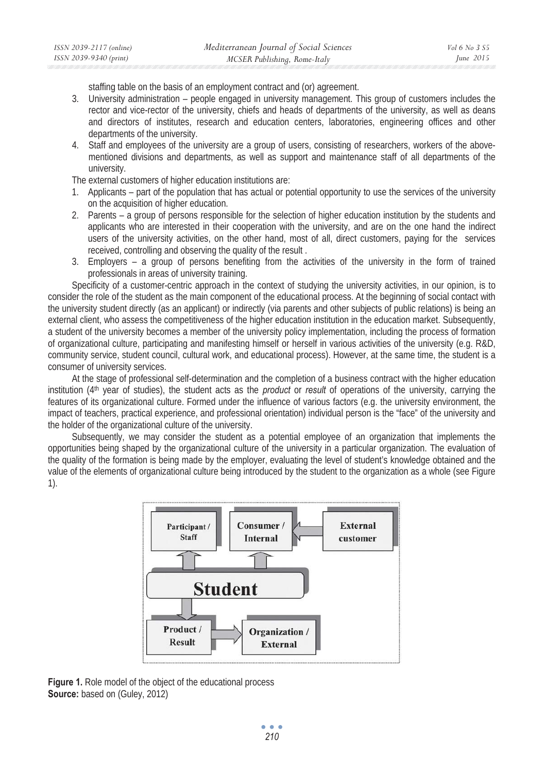staffing table on the basis of an employment contract and (or) agreement.

- 3. University administration people engaged in university management. This group of customers includes the rector and vice-rector of the university, chiefs and heads of departments of the university, as well as deans and directors of institutes, research and education centers, laboratories, engineering offices and other departments of the university.
- 4. Staff and employees of the university are a group of users, consisting of researchers, workers of the abovementioned divisions and departments, as well as support and maintenance staff of all departments of the university.

The external customers of higher education institutions are:

- 1. Applicants part of the population that has actual or potential opportunity to use the services of the university on the acquisition of higher education.
- 2. Parents a group of persons responsible for the selection of higher education institution by the students and applicants who are interested in their cooperation with the university, and are on the one hand the indirect users of the university activities, on the other hand, most of all, direct customers, paying for the services received, controlling and observing the quality of the result .
- 3. Employers a group of persons benefiting from the activities of the university in the form of trained professionals in areas of university training.

Specificity of a customer-centric approach in the context of studying the university activities, in our opinion, is to consider the role of the student as the main component of the educational process. At the beginning of social contact with the university student directly (as an applicant) or indirectly (via parents and other subjects of public relations) is being an external client, who assess the competitiveness of the higher education institution in the education market. Subsequently, a student of the university becomes a member of the university policy implementation, including the process of formation of organizational culture, participating and manifesting himself or herself in various activities of the university (e.g. R&D, community service, student council, cultural work, and educational process). However, at the same time, the student is a consumer of university services.

At the stage of professional self-determination and the completion of a business contract with the higher education institution (4th year of studies), the student acts as the *product* or *result* of operations of the university, carrying the features of its organizational culture. Formed under the influence of various factors (e.g. the university environment, the impact of teachers, practical experience, and professional orientation) individual person is the "face" of the university and the holder of the organizational culture of the university.

Subsequently, we may consider the student as a potential employee of an organization that implements the opportunities being shaped by the organizational culture of the university in a particular organization. The evaluation of the quality of the formation is being made by the employer, evaluating the level of student's knowledge obtained and the value of the elements of organizational culture being introduced by the student to the organization as a whole (see Figure 1).



**Figure 1.** Role model of the object of the educational process **Source:** based on (Guley, 2012)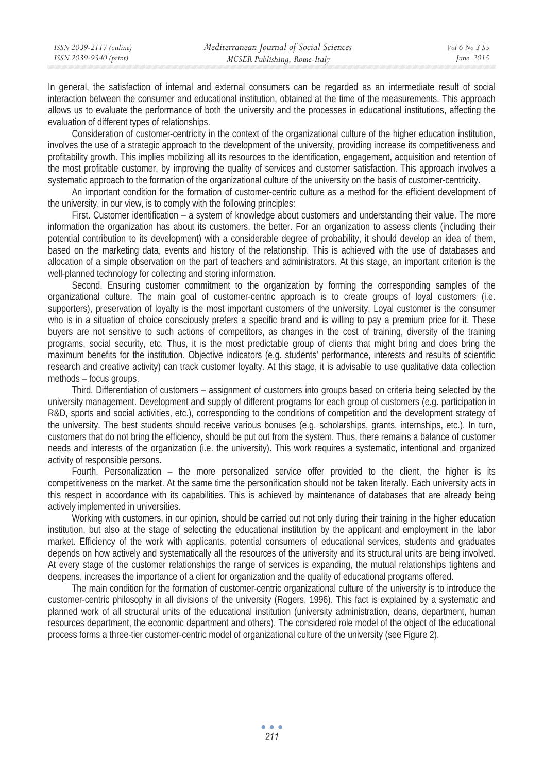In general, the satisfaction of internal and external consumers can be regarded as an intermediate result of social interaction between the consumer and educational institution, obtained at the time of the measurements. This approach allows us to evaluate the performance of both the university and the processes in educational institutions, affecting the evaluation of different types of relationships.

Consideration of customer-centricity in the context of the organizational culture of the higher education institution, involves the use of a strategic approach to the development of the university, providing increase its competitiveness and profitability growth. This implies mobilizing all its resources to the identification, engagement, acquisition and retention of the most profitable customer, by improving the quality of services and customer satisfaction. This approach involves a systematic approach to the formation of the organizational culture of the university on the basis of customer-centricity.

An important condition for the formation of customer-centric culture as a method for the efficient development of the university, in our view, is to comply with the following principles:

First. Customer identification – a system of knowledge about customers and understanding their value. The more information the organization has about its customers, the better. For an organization to assess clients (including their potential contribution to its development) with a considerable degree of probability, it should develop an idea of them, based on the marketing data, events and history of the relationship. This is achieved with the use of databases and allocation of a simple observation on the part of teachers and administrators. At this stage, an important criterion is the well-planned technology for collecting and storing information.

Second. Ensuring customer commitment to the organization by forming the corresponding samples of the organizational culture. The main goal of customer-centric approach is to create groups of loyal customers (i.e. supporters), preservation of loyalty is the most important customers of the university. Loyal customer is the consumer who is in a situation of choice consciously prefers a specific brand and is willing to pay a premium price for it. These buyers are not sensitive to such actions of competitors, as changes in the cost of training, diversity of the training programs, social security, etc. Thus, it is the most predictable group of clients that might bring and does bring the maximum benefits for the institution. Objective indicators (e.g. students' performance, interests and results of scientific research and creative activity) can track customer loyalty. At this stage, it is advisable to use qualitative data collection methods – focus groups.

Third. Differentiation of customers – assignment of customers into groups based on criteria being selected by the university management. Development and supply of different programs for each group of customers (e.g. participation in R&D, sports and social activities, etc.), corresponding to the conditions of competition and the development strategy of the university. The best students should receive various bonuses (e.g. scholarships, grants, internships, etc.). In turn, customers that do not bring the efficiency, should be put out from the system. Thus, there remains a balance of customer needs and interests of the organization (i.e. the university). This work requires a systematic, intentional and organized activity of responsible persons.

Fourth. Personalization – the more personalized service offer provided to the client, the higher is its competitiveness on the market. At the same time the personification should not be taken literally. Each university acts in this respect in accordance with its capabilities. This is achieved by maintenance of databases that are already being actively implemented in universities.

Working with customers, in our opinion, should be carried out not only during their training in the higher education institution, but also at the stage of selecting the educational institution by the applicant and employment in the labor market. Efficiency of the work with applicants, potential consumers of educational services, students and graduates depends on how actively and systematically all the resources of the university and its structural units are being involved. At every stage of the customer relationships the range of services is expanding, the mutual relationships tightens and deepens, increases the importance of a client for organization and the quality of educational programs offered.

The main condition for the formation of customer-centric organizational culture of the university is to introduce the customer-centric philosophy in all divisions of the university (Rogers, 1996). This fact is explained by a systematic and planned work of all structural units of the educational institution (university administration, deans, department, human resources department, the economic department and others). The considered role model of the object of the educational process forms a three-tier customer-centric model of organizational culture of the university (see Figure 2).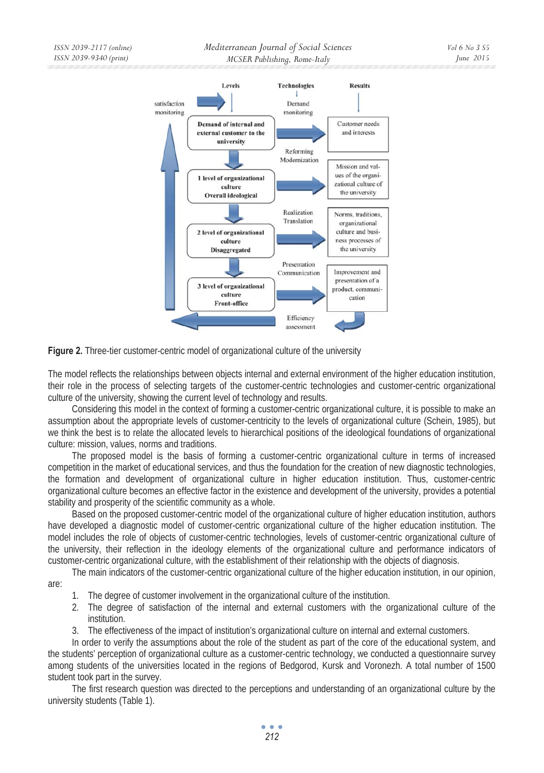

**Figure 2.** Three-tier customer-centric model of organizational culture of the university

The model reflects the relationships between objects internal and external environment of the higher education institution, their role in the process of selecting targets of the customer-centric technologies and customer-centric organizational culture of the university, showing the current level of technology and results.

Considering this model in the context of forming a customer-centric organizational culture, it is possible to make an assumption about the appropriate levels of customer-centricity to the levels of organizational culture (Schein, 1985), but we think the best is to relate the allocated levels to hierarchical positions of the ideological foundations of organizational culture: mission, values, norms and traditions.

The proposed model is the basis of forming a customer-centric organizational culture in terms of increased competition in the market of educational services, and thus the foundation for the creation of new diagnostic technologies, the formation and development of organizational culture in higher education institution. Thus, customer-centric organizational culture becomes an effective factor in the existence and development of the university, provides a potential stability and prosperity of the scientific community as a whole.

Based on the proposed customer-centric model of the organizational culture of higher education institution, authors have developed a diagnostic model of customer-centric organizational culture of the higher education institution. The model includes the role of objects of customer-centric technologies, levels of customer-centric organizational culture of the university, their reflection in the ideology elements of the organizational culture and performance indicators of customer-centric organizational culture, with the establishment of their relationship with the objects of diagnosis.

The main indicators of the customer-centric organizational culture of the higher education institution, in our opinion, are:

- 1. The degree of customer involvement in the organizational culture of the institution.
- 2. The degree of satisfaction of the internal and external customers with the organizational culture of the institution.
- 3. The effectiveness of the impact of institution's organizational culture on internal and external customers.

In order to verify the assumptions about the role of the student as part of the core of the educational system, and the students' perception of organizational culture as a customer-centric technology, we conducted a questionnaire survey among students of the universities located in the regions of Bedgorod, Kursk and Voronezh. A total number of 1500 student took part in the survey.

The first research question was directed to the perceptions and understanding of an organizational culture by the university students (Table 1).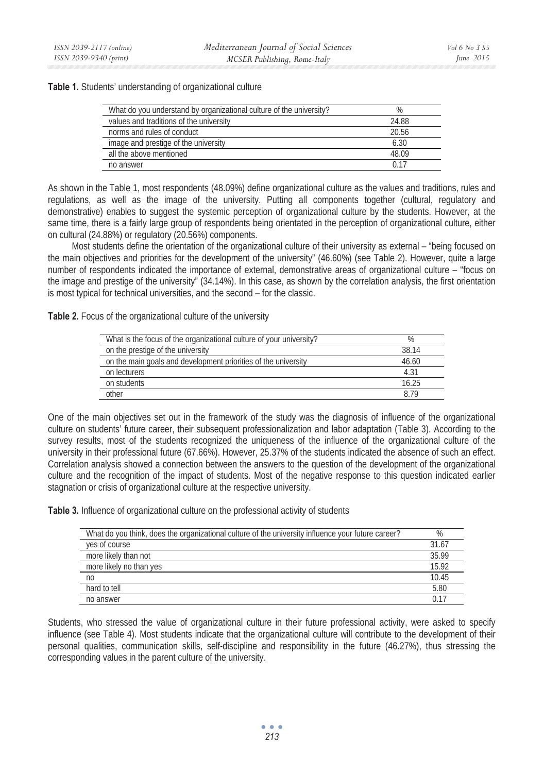**Table 1.** Students' understanding of organizational culture

| What do you understand by organizational culture of the university? | %     |
|---------------------------------------------------------------------|-------|
| values and traditions of the university                             | 24.88 |
| norms and rules of conduct                                          | 20.56 |
| image and prestige of the university                                | 6.30  |
| all the above mentioned                                             | 48.09 |
| no answer                                                           | 0.17  |

As shown in the Table 1, most respondents (48.09%) define organizational culture as the values and traditions, rules and regulations, as well as the image of the university. Putting all components together (cultural, regulatory and demonstrative) enables to suggest the systemic perception of organizational culture by the students. However, at the same time, there is a fairly large group of respondents being orientated in the perception of organizational culture, either on cultural (24.88%) or regulatory (20.56%) components.

Most students define the orientation of the organizational culture of their university as external – "being focused on the main objectives and priorities for the development of the university" (46.60%) (see Table 2). However, quite a large number of respondents indicated the importance of external, demonstrative areas of organizational culture – "focus on the image and prestige of the university" (34.14%). In this case, as shown by the correlation analysis, the first orientation is most typical for technical universities, and the second – for the classic.

**Table 2.** Focus of the organizational culture of the university

| What is the focus of the organizational culture of your university? |       |
|---------------------------------------------------------------------|-------|
| on the prestige of the university                                   | 38.14 |
| on the main goals and development priorities of the university      | 46.60 |
| on lecturers                                                        | 4.31  |
| on students                                                         | 16.25 |
| other                                                               | 8.79  |

One of the main objectives set out in the framework of the study was the diagnosis of influence of the organizational culture on students' future career, their subsequent professionalization and labor adaptation (Table 3). According to the survey results, most of the students recognized the uniqueness of the influence of the organizational culture of the university in their professional future (67.66%). However, 25.37% of the students indicated the absence of such an effect. Correlation analysis showed a connection between the answers to the question of the development of the organizational culture and the recognition of the impact of students. Most of the negative response to this question indicated earlier stagnation or crisis of organizational culture at the respective university.

**Table 3.** Influence of organizational culture on the professional activity of students

| What do you think, does the organizational culture of the university influence your future career? | %     |
|----------------------------------------------------------------------------------------------------|-------|
| yes of course                                                                                      | 31.67 |
| more likely than not                                                                               | 35.99 |
| more likely no than yes                                                                            | 15.92 |
| no                                                                                                 | 10.45 |
| hard to tell                                                                                       | 5.80  |
| no answer                                                                                          | በ 17  |

Students, who stressed the value of organizational culture in their future professional activity, were asked to specify influence (see Table 4). Most students indicate that the organizational culture will contribute to the development of their personal qualities, communication skills, self-discipline and responsibility in the future (46.27%), thus stressing the corresponding values in the parent culture of the university.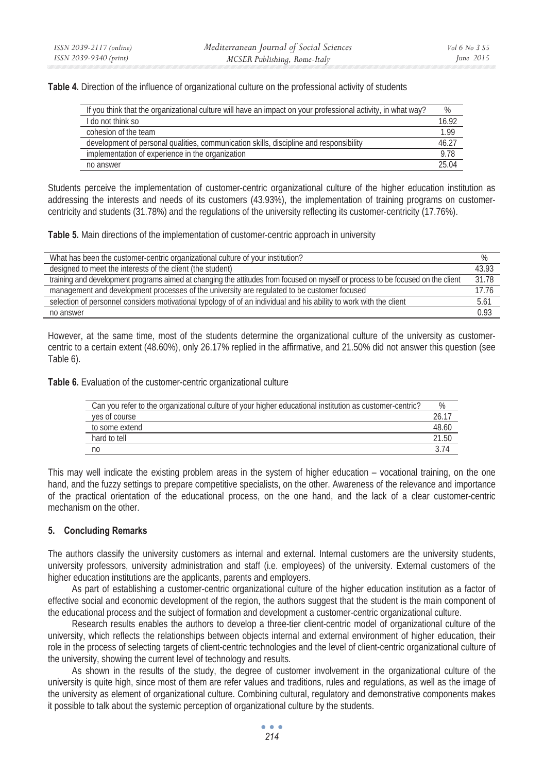**Table 4.** Direction of the influence of organizational culture on the professional activity of students

| If you think that the organizational culture will have an impact on your professional activity, in what way? |       |
|--------------------------------------------------------------------------------------------------------------|-------|
| I do not think so                                                                                            | 16.92 |
| cohesion of the team                                                                                         | 1.99  |
| development of personal qualities, communication skills, discipline and responsibility                       | 46.27 |
| implementation of experience in the organization                                                             | 9.78  |
| no answer                                                                                                    | 25.04 |

Students perceive the implementation of customer-centric organizational culture of the higher education institution as addressing the interests and needs of its customers (43.93%), the implementation of training programs on customercentricity and students (31.78%) and the regulations of the university reflecting its customer-centricity (17.76%).

**Table 5.** Main directions of the implementation of customer-centric approach in university

| What has been the customer-centric organizational culture of your institution?                                                  | %     |
|---------------------------------------------------------------------------------------------------------------------------------|-------|
| designed to meet the interests of the client (the student)                                                                      | 43.93 |
| training and development programs aimed at changing the attitudes from focused on myself or process to be focused on the client | 31.78 |
| management and development processes of the university are regulated to be customer focused                                     | 17.76 |
| selection of personnel considers motivational typology of of an individual and his ability to work with the client              | 5.61  |
| no answer                                                                                                                       | 0.93  |
|                                                                                                                                 |       |

However, at the same time, most of the students determine the organizational culture of the university as customercentric to a certain extent (48.60%), only 26.17% replied in the affirmative, and 21.50% did not answer this question (see Table 6).

**Table 6.** Evaluation of the customer-centric organizational culture

| Can you refer to the organizational culture of your higher educational institution as customer-centric? | $\%$  |
|---------------------------------------------------------------------------------------------------------|-------|
| ves of course                                                                                           |       |
| to some extend                                                                                          | 48.60 |
| hard to tell                                                                                            | 21.50 |
| no                                                                                                      |       |

This may well indicate the existing problem areas in the system of higher education – vocational training, on the one hand, and the fuzzy settings to prepare competitive specialists, on the other. Awareness of the relevance and importance of the practical orientation of the educational process, on the one hand, and the lack of a clear customer-centric mechanism on the other.

# **5. Concluding Remarks**

The authors classify the university customers as internal and external. Internal customers are the university students, university professors, university administration and staff (i.e. employees) of the university. External customers of the higher education institutions are the applicants, parents and employers.

As part of establishing a customer-centric organizational culture of the higher education institution as a factor of effective social and economic development of the region, the authors suggest that the student is the main component of the educational process and the subject of formation and development a customer-centric organizational culture.

Research results enables the authors to develop a three-tier client-centric model of organizational culture of the university, which reflects the relationships between objects internal and external environment of higher education, their role in the process of selecting targets of client-centric technologies and the level of client-centric organizational culture of the university, showing the current level of technology and results.

As shown in the results of the study, the degree of customer involvement in the organizational culture of the university is quite high, since most of them are refer values and traditions, rules and regulations, as well as the image of the university as element of organizational culture. Combining cultural, regulatory and demonstrative components makes it possible to talk about the systemic perception of organizational culture by the students.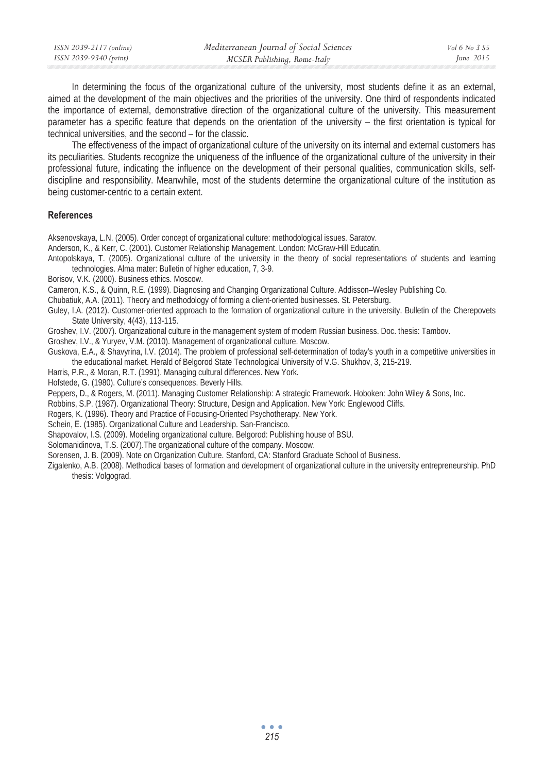| ISSN 2039-2117 (online) | Mediterranean Journal of Social Sciences | Vol 6 No 3 S5 |
|-------------------------|------------------------------------------|---------------|
| ISSN 2039-9340 (print)  | MCSER Publishing, Rome-Italy             | June 2015     |
|                         |                                          |               |

In determining the focus of the organizational culture of the university, most students define it as an external, aimed at the development of the main objectives and the priorities of the university. One third of respondents indicated the importance of external, demonstrative direction of the organizational culture of the university. This measurement parameter has a specific feature that depends on the orientation of the university – the first orientation is typical for technical universities, and the second – for the classic.

The effectiveness of the impact of organizational culture of the university on its internal and external customers has its peculiarities. Students recognize the uniqueness of the influence of the organizational culture of the university in their professional future, indicating the influence on the development of their personal qualities, communication skills, selfdiscipline and responsibility. Meanwhile, most of the students determine the organizational culture of the institution as being customer-centric to a certain extent.

## **References**

Aksenovskaya, L.N. (2005). Order concept of organizational culture: methodological issues. Saratov.

Anderson, K., & Kerr, C. (2001). Customer Relationship Management. London: McGraw-Hill Educatin.

Antopolskaya, T. (2005). Organizational culture of the university in the theory of social representations of students and learning technologies. Alma mater: Bulletin of higher education, 7, 3-9.

Borisov, V.K. (2000). Business ethics. Moscow.

Cameron, K.S., & Quinn, R.E. (1999). Diagnosing and Changing Organizational Culture. Addisson–Wesley Publishing Co.

Chubatiuk, A.A. (2011). Theory and methodology of forming a client-oriented businesses. St. Petersburg.

Guley, I.A. (2012). Customer-oriented approach to the formation of organizational culture in the university. Bulletin of the Cherepovets State University, 4(43), 113-115.

Groshev, I.V. (2007). Organizational culture in the management system of modern Russian business. Doc. thesis: Tambov.

Groshev, I.V., & Yuryev, V.M. (2010). Management of organizational culture. Moscow.

Guskova, E.A., & Shavyrina, I.V. (2014). The problem of professional self-determination of today's youth in a competitive universities in the educational market. Herald of Belgorod State Technological University of V.G. Shukhov, 3, 215-219.

Harris, P.R., & Moran, R.T. (1991). Managing cultural differences. New York.

Hofstede, G. (1980). Culture's consequences. Beverly Hills.

Peppers, D., & Rogers, M. (2011). Managing Customer Relationship: A strategic Framework. Hoboken: John Wiley & Sons, Inc.

Robbins, S.P. (1987). Organizational Theory: Structure, Design and Application. New York: Englewood Cliffs.

Rogers, K. (1996). Theory and Practice of Focusing-Oriented Psychotherapy. New York.

Schein, E. (1985). Organizational Culture and Leadership. San-Francisco.

Shapovalov, I.S. (2009). Modeling organizational culture. Belgorod: Publishing house of BSU.

Solomanidinova, T.S. (2007).The organizational culture of the company. Moscow.

Sorensen, J. B. (2009). Note on Organization Culture. Stanford, CA: Stanford Graduate School of Business.

Zigalenko, A.B. (2008). Methodical bases of formation and development of organizational culture in the university entrepreneurship. PhD thesis: Volgograd.